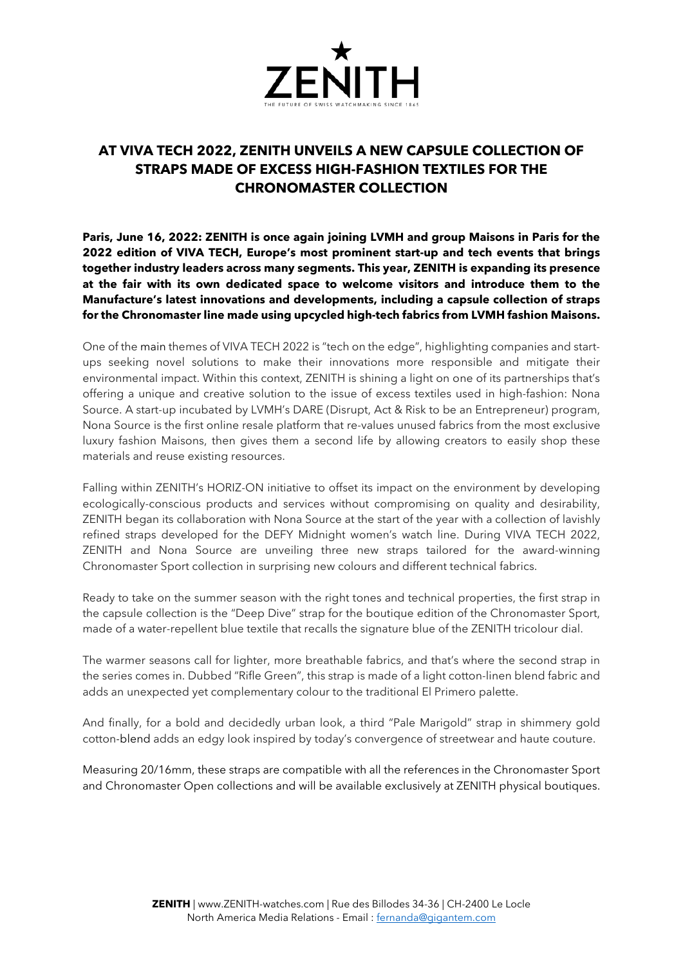

## **AT VIVA TECH 2022, ZENITH UNVEILS A NEW CAPSULE COLLECTION OF STRAPS MADE OF EXCESS HIGH-FASHION TEXTILES FOR THE CHRONOMASTER COLLECTION**

**Paris, June 16, 2022: ZENITH is once again joining LVMH and group Maisons in Paris for the 2022 edition of VIVA TECH, Europe's most prominent start-up and tech events that brings together industry leaders across many segments. This year, ZENITH is expanding its presence at the fair with its own dedicated space to welcome visitors and introduce them to the Manufacture's latest innovations and developments, including a capsule collection of straps for the Chronomaster line made using upcycled high-tech fabrics from LVMH fashion Maisons.**

One of the main themes of VIVA TECH 2022 is "tech on the edge", highlighting companies and startups seeking novel solutions to make their innovations more responsible and mitigate their environmental impact. Within this context, ZENITH is shining a light on one of its partnerships that's offering a unique and creative solution to the issue of excess textiles used in high-fashion: Nona Source. A start-up incubated by LVMH's DARE (Disrupt, Act & Risk to be an Entrepreneur) program, Nona Source is the first online resale platform that re-values unused fabrics from the most exclusive luxury fashion Maisons, then gives them a second life by allowing creators to easily shop these materials and reuse existing resources.

Falling within ZENITH's HORIZ-ON initiative to offset its impact on the environment by developing ecologically-conscious products and services without compromising on quality and desirability, ZENITH began its collaboration with Nona Source at the start of the year with a collection of lavishly refined straps developed for the DEFY Midnight women's watch line. During VIVA TECH 2022, ZENITH and Nona Source are unveiling three new straps tailored for the award-winning Chronomaster Sport collection in surprising new colours and different technical fabrics.

Ready to take on the summer season with the right tones and technical properties, the first strap in the capsule collection is the "Deep Dive" strap for the boutique edition of the Chronomaster Sport, made of a water-repellent blue textile that recalls the signature blue of the ZENITH tricolour dial.

The warmer seasons call for lighter, more breathable fabrics, and that's where the second strap in the series comes in. Dubbed "Rifle Green", this strap is made of a light cotton-linen blend fabric and adds an unexpected yet complementary colour to the traditional El Primero palette.

And finally, for a bold and decidedly urban look, a third "Pale Marigold" strap in shimmery gold cotton-blend adds an edgy look inspired by today's convergence of streetwear and haute couture.

Measuring 20/16mm, these straps are compatible with all the references in the Chronomaster Sport and Chronomaster Open collections and will be available exclusively at ZENITH physical boutiques.